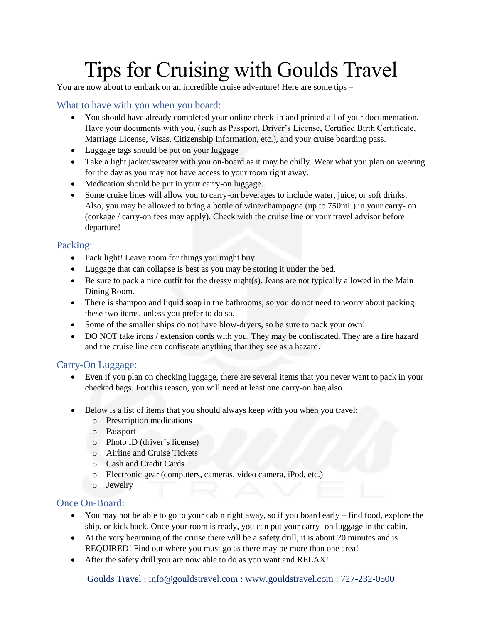# Tips for Cruising with Goulds Travel

You are now about to embark on an incredible cruise adventure! Here are some tips –

# What to have with you when you board:

- You should have already completed your online check-in and printed all of your documentation. Have your documents with you, (such as Passport, Driver's License, Certified Birth Certificate, Marriage License, Visas, Citizenship Information, etc.), and your cruise boarding pass.
- Luggage tags should be put on your luggage
- Take a light jacket/sweater with you on-board as it may be chilly. Wear what you plan on wearing for the day as you may not have access to your room right away.
- Medication should be put in your carry-on luggage.
- Some cruise lines will allow you to carry-on beverages to include water, juice, or soft drinks. Also, you may be allowed to bring a bottle of wine/champagne (up to 750mL) in your carry- on (corkage / carry-on fees may apply). Check with the cruise line or your travel advisor before departure!

#### Packing:

- Pack light! Leave room for things you might buy.
- Luggage that can collapse is best as you may be storing it under the bed.
- $\bullet$  Be sure to pack a nice outfit for the dressy night(s). Jeans are not typically allowed in the Main Dining Room.
- There is shampoo and liquid soap in the bathrooms, so you do not need to worry about packing these two items, unless you prefer to do so.
- Some of the smaller ships do not have blow-dryers, so be sure to pack your own!
- DO NOT take irons / extension cords with you. They may be confiscated. They are a fire hazard and the cruise line can confiscate anything that they see as a hazard.

## Carry-On Luggage:

- Even if you plan on checking luggage, there are several items that you never want to pack in your checked bags. For this reason, you will need at least one carry-on bag also.
- Below is a list of items that you should always keep with you when you travel:
	- o Prescription medications
	- o Passport
	- o Photo ID (driver's license)
	- o Airline and Cruise Tickets
	- o Cash and Credit Cards
	- o Electronic gear (computers, cameras, video camera, iPod, etc.)
	- o Jewelry

#### Once On-Board:

- You may not be able to go to your cabin right away, so if you board early find food, explore the ship, or kick back. Once your room is ready, you can put your carry- on luggage in the cabin.
- At the very beginning of the cruise there will be a safety drill, it is about 20 minutes and is REQUIRED! Find out where you must go as there may be more than one area!
- After the safety drill you are now able to do as you want and RELAX!

Goulds Travel : info@gouldstravel.com : www.gouldstravel.com : 727-232-0500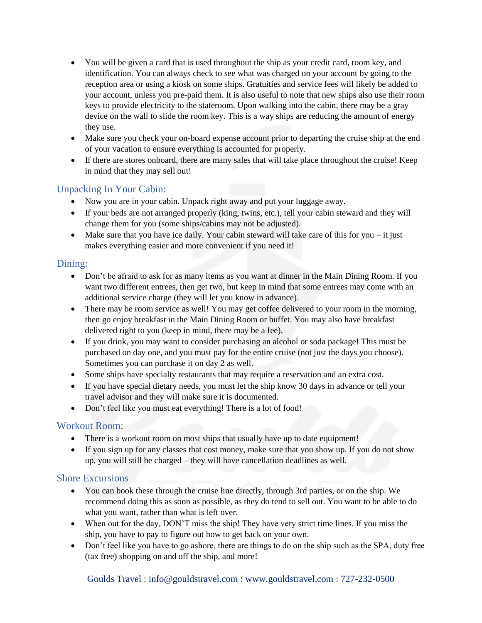- You will be given a card that is used throughout the ship as your credit card, room key, and identification. You can always check to see what was charged on your account by going to the reception area or using a kiosk on some ships. Gratuities and service fees will likely be added to your account, unless you pre-paid them. It is also useful to note that new ships also use their room keys to provide electricity to the stateroom. Upon walking into the cabin, there may be a gray device on the wall to slide the room key. This is a way ships are reducing the amount of energy they use.
- Make sure you check your on-board expense account prior to departing the cruise ship at the end of your vacation to ensure everything is accounted for properly.
- If there are stores onboard, there are many sales that will take place throughout the cruise! Keep in mind that they may sell out!

## Unpacking In Your Cabin:

- Now you are in your cabin. Unpack right away and put your luggage away.
- If your beds are not arranged properly (king, twins, etc.), tell your cabin steward and they will change them for you (some ships/cabins may not be adjusted).
- Make sure that you have ice daily. Your cabin steward will take care of this for you it just makes everything easier and more convenient if you need it!

## Dining:

- Don't be afraid to ask for as many items as you want at dinner in the Main Dining Room. If you want two different entrees, then get two, but keep in mind that some entrees may come with an additional service charge (they will let you know in advance).
- There may be room service as well! You may get coffee delivered to your room in the morning, then go enjoy breakfast in the Main Dining Room or buffet. You may also have breakfast delivered right to you (keep in mind, there may be a fee).
- If you drink, you may want to consider purchasing an alcohol or soda package! This must be purchased on day one, and you must pay for the entire cruise (not just the days you choose). Sometimes you can purchase it on day 2 as well.
- Some ships have specialty restaurants that may require a reservation and an extra cost.
- If you have special dietary needs, you must let the ship know 30 days in advance or tell your travel advisor and they will make sure it is documented.
- Don't feel like you must eat everything! There is a lot of food!

## Workout Room:

- There is a workout room on most ships that usually have up to date equipment!
- If you sign up for any classes that cost money, make sure that you show up. If you do not show up, you will still be charged – they will have cancellation deadlines as well.

## Shore Excursions

- You can book these through the cruise line directly, through 3rd parties, or on the ship. We recommend doing this as soon as possible, as they do tend to sell out. You want to be able to do what you want, rather than what is left over.
- When out for the day, DON'T miss the ship! They have very strict time lines. If you miss the ship, you have to pay to figure out how to get back on your own.
- Don't feel like you have to go ashore, there are things to do on the ship such as the SPA, duty free (tax free) shopping on and off the ship, and more!